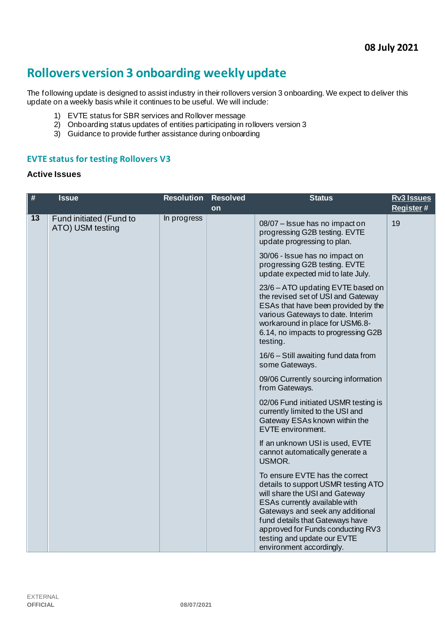# **Rollovers version 3 onboarding weekly update**

The following update is designed to assist industry in their rollovers version 3 onboarding. We expect to deliver this update on a weekly basis while it continues to be useful. We will include:

- 1) EVTE status for SBR services and Rollover message
- 2) Onboarding status updates of entities participating in rollovers version 3
- 3) Guidance to provide further assistance during onboarding

#### **EVTE status for testing Rollovers V3**

#### **Active Issues**

| $\#$ | <b>Issue</b>                                | <b>Resolution</b> | <b>Resolved</b> | <b>Status</b>                                                                                                                                                                                                                                                                                                   | <b>Rv3 Issues</b> |
|------|---------------------------------------------|-------------------|-----------------|-----------------------------------------------------------------------------------------------------------------------------------------------------------------------------------------------------------------------------------------------------------------------------------------------------------------|-------------------|
|      |                                             |                   | on              |                                                                                                                                                                                                                                                                                                                 | Register#         |
| 13   | Fund initiated (Fund to<br>ATO) USM testing | In progress       |                 | 08/07 - Issue has no impact on<br>progressing G2B testing. EVTE<br>update progressing to plan.                                                                                                                                                                                                                  | 19                |
|      |                                             |                   |                 | 30/06 - Issue has no impact on<br>progressing G2B testing. EVTE<br>update expected mid to late July.                                                                                                                                                                                                            |                   |
|      |                                             |                   |                 | 23/6 - ATO updating EVTE based on<br>the revised set of USI and Gateway<br>ESAs that have been provided by the<br>various Gateways to date. Interim<br>workaround in place for USM6.8-<br>6.14, no impacts to progressing G2B<br>testing.                                                                       |                   |
|      |                                             |                   |                 | 16/6 - Still awaiting fund data from<br>some Gateways.                                                                                                                                                                                                                                                          |                   |
|      |                                             |                   |                 | 09/06 Currently sourcing information<br>from Gateways.                                                                                                                                                                                                                                                          |                   |
|      |                                             |                   |                 | 02/06 Fund initiated USMR testing is<br>currently limited to the USI and<br>Gateway ESAs known within the<br>EVTE environment.                                                                                                                                                                                  |                   |
|      |                                             |                   |                 | If an unknown USI is used, EVTE<br>cannot automatically generate a<br>USMOR.                                                                                                                                                                                                                                    |                   |
|      |                                             |                   |                 | To ensure EVTE has the correct<br>details to support USMR testing ATO<br>will share the USI and Gateway<br>ESAs currently available with<br>Gateways and seek any additional<br>fund details that Gateways have<br>approved for Funds conducting RV3<br>testing and update our EVTE<br>environment accordingly. |                   |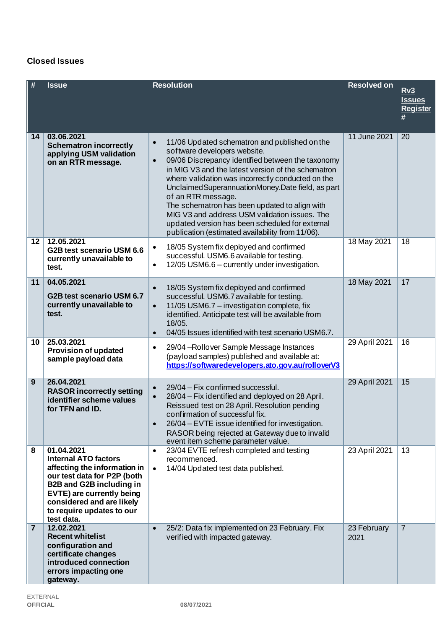## **Closed Issues**

| #               | <b>Issue</b>                                                                                                                                                                                                                                     | <b>Resolution</b>                                                                                                                                                                                                                                                                                                                                                                                                                                                                                                                                             | <b>Resolved on</b>  | Rv3<br><u>Issues</u><br><b>Register</b><br># |
|-----------------|--------------------------------------------------------------------------------------------------------------------------------------------------------------------------------------------------------------------------------------------------|---------------------------------------------------------------------------------------------------------------------------------------------------------------------------------------------------------------------------------------------------------------------------------------------------------------------------------------------------------------------------------------------------------------------------------------------------------------------------------------------------------------------------------------------------------------|---------------------|----------------------------------------------|
| 14              | 03.06.2021<br><b>Schematron incorrectly</b><br>applying USM validation<br>on an RTR message.                                                                                                                                                     | 11/06 Updated schematron and published on the<br>$\bullet$<br>software developers website.<br>09/06 Discrepancy identified between the taxonomy<br>$\bullet$<br>in MIG V3 and the latest version of the schematron<br>where validation was incorrectly conducted on the<br>Unclaimed Superannuation Money. Date field, as part<br>of an RTR message.<br>The schematron has been updated to align with<br>MIG V3 and address USM validation issues. The<br>updated version has been scheduled for external<br>publication (estimated availability from 11/06). | 11 June 2021        | 20                                           |
| 12              | 12.05.2021<br>G2B test scenario USM 6.6<br>currently unavailable to<br>test.                                                                                                                                                                     | 18/05 System fix deployed and confirmed<br>$\bullet$<br>successful. USM6.6 available for testing.<br>12/05 USM6.6 - currently under investigation.<br>$\bullet$                                                                                                                                                                                                                                                                                                                                                                                               | 18 May 2021         | 18                                           |
| 11              | 04.05.2021<br>G2B test scenario USM 6.7<br>currently unavailable to<br>test.                                                                                                                                                                     | 18/05 System fix deployed and confirmed<br>$\bullet$<br>successful. USM6.7 available for testing.<br>11/05 USM6.7 - investigation complete, fix<br>$\bullet$<br>identified. Anticipate test will be available from<br>18/05.<br>04/05 Issues identified with test scenario USM6.7.<br>$\bullet$                                                                                                                                                                                                                                                               | 18 May 2021         | 17                                           |
| 10 <sub>1</sub> | 25.03.2021<br><b>Provision of updated</b><br>sample payload data                                                                                                                                                                                 | 29/04 - Rollover Sample Message Instances<br>$\bullet$<br>(payload samples) published and available at:<br>https://softwaredevelopers.ato.gov.au/rolloverV3                                                                                                                                                                                                                                                                                                                                                                                                   | 29 April 2021       | 16                                           |
| 9               | 26.04.2021<br><b>RASOR incorrectly setting</b><br>identifier scheme values<br>for TFN and ID.                                                                                                                                                    | 29/04 - Fix confirmed successful.<br>$\bullet$<br>28/04 - Fix identified and deployed on 28 April.<br>Reissued test on 28 April. Resolution pending<br>confirmation of successful fix.<br>26/04 – EVTE issue identified for investigation.<br>$\bullet$<br>RASOR being rejected at Gateway due to invalid<br>event item scheme parameter value.                                                                                                                                                                                                               | 29 April 2021       | 15                                           |
| 8               | 01.04.2021<br><b>Internal ATO factors</b><br>affecting the information in<br>our test data for P2P (both<br><b>B2B and G2B including in</b><br>EVTE) are currently being<br>considered and are likely<br>to require updates to our<br>test data. | 23/04 EVTE refresh completed and testing<br>$\bullet$<br>recommenced.<br>14/04 Updated test data published.<br>$\bullet$                                                                                                                                                                                                                                                                                                                                                                                                                                      | 23 April 2021       | 13                                           |
| $\overline{7}$  | 12.02.2021<br><b>Recent whitelist</b><br>configuration and<br>certificate changes<br>introduced connection<br>errors impacting one<br>gateway.                                                                                                   | 25/2: Data fix implemented on 23 February. Fix<br>$\bullet$<br>verified with impacted gateway.                                                                                                                                                                                                                                                                                                                                                                                                                                                                | 23 February<br>2021 | $\overline{7}$                               |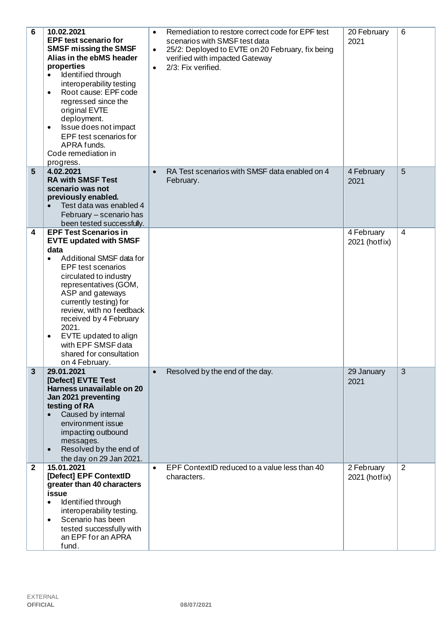| $6\phantom{1}6$ | 10.02.2021<br><b>EPF test scenario for</b><br><b>SMSF missing the SMSF</b><br>Alias in the ebMS header<br>properties<br>Identified through<br>interoperability testing<br>Root cause: EPF code<br>$\bullet$<br>regressed since the<br>original EVTE<br>deployment.<br>Issue does not impact<br>$\bullet$<br>EPF test scenarios for<br>APRA funds.<br>Code remediation in<br>progress.                                | Remediation to restore correct code for EPF test<br>$\bullet$<br>scenarios with SMSF test data<br>25/2: Deployed to EVTE on 20 February, fix being<br>$\bullet$<br>verified with impacted Gateway<br>2/3: Fix verified.<br>$\bullet$ | 20 February<br>2021         | 6              |
|-----------------|----------------------------------------------------------------------------------------------------------------------------------------------------------------------------------------------------------------------------------------------------------------------------------------------------------------------------------------------------------------------------------------------------------------------|--------------------------------------------------------------------------------------------------------------------------------------------------------------------------------------------------------------------------------------|-----------------------------|----------------|
| 5               | 4.02.2021<br><b>RA with SMSF Test</b><br>scenario was not<br>previously enabled.<br>Test data was enabled 4<br>February - scenario has<br>been tested successfully.                                                                                                                                                                                                                                                  | RA Test scenarios with SMSF data enabled on 4<br>$\bullet$<br>February.                                                                                                                                                              | 4 February<br>2021          | 5              |
| 4               | <b>EPF Test Scenarios in</b><br><b>EVTE updated with SMSF</b><br>data<br>Additional SMSF data for<br>$\bullet$<br><b>EPF</b> test scenarios<br>circulated to industry<br>representatives (GOM,<br>ASP and gateways<br>currently testing) for<br>review, with no feedback<br>received by 4 February<br>2021.<br>EVTE updated to align<br>$\bullet$<br>with EPF SMSF data<br>shared for consultation<br>on 4 February. |                                                                                                                                                                                                                                      | 4 February<br>2021 (hotfix) | $\overline{4}$ |
| $\mathbf{3}$    | 29.01.2021<br>[Defect] EVTE Test<br>Harness unavailable on 20<br>Jan 2021 preventing<br>testing of RA<br>Caused by internal<br>$\bullet$<br>environment issue<br>impacting outbound<br>messages.<br>Resolved by the end of<br>$\bullet$<br>the day on 29 Jan 2021.                                                                                                                                                   | Resolved by the end of the day.<br>$\bullet$                                                                                                                                                                                         | 29 January<br>2021          | $\overline{3}$ |
| $\mathbf{2}$    | 15.01.2021<br>[Defect] EPF ContextID<br>greater than 40 characters<br>issue<br>Identified through<br>$\bullet$<br>interoperability testing.<br>Scenario has been<br>$\bullet$<br>tested successfully with<br>an EPF for an APRA<br>fund.                                                                                                                                                                             | EPF ContextID reduced to a value less than 40<br>$\bullet$<br>characters.                                                                                                                                                            | 2 February<br>2021 (hotfix) | 2              |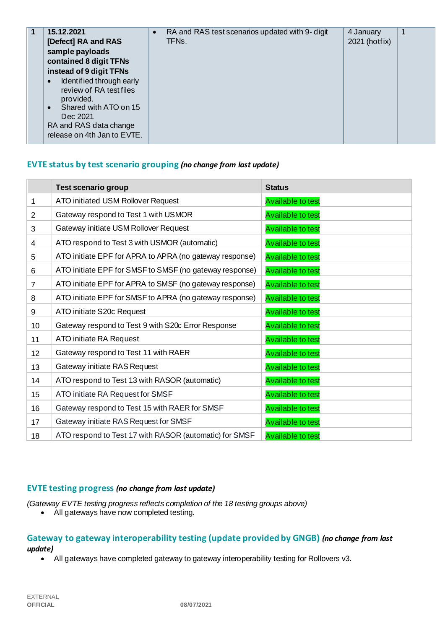| 15.12.2021<br>[Defect] RA and RAS<br>sample payloads<br>contained 8 digit TFNs<br>instead of 9 digit TFNs<br>Identified through early<br>$\bullet$<br>review of RA test files<br>provided.<br>Shared with ATO on 15<br>$\bullet$<br>Dec 2021<br>RA and RAS data change | RA and RAS test scenarios updated with 9- digit<br>$\bullet$<br>TFNs. | 4 January<br>2021 (hotfix) | 1 |
|------------------------------------------------------------------------------------------------------------------------------------------------------------------------------------------------------------------------------------------------------------------------|-----------------------------------------------------------------------|----------------------------|---|
| release on 4th Jan to EVTE.                                                                                                                                                                                                                                            |                                                                       |                            |   |

#### **EVTE status by test scenario grouping** *(no change from last update)*

|                | <b>Test scenario group</b>                              | <b>Status</b>            |
|----------------|---------------------------------------------------------|--------------------------|
| 1              | ATO initiated USM Rollover Request                      | <b>Available to test</b> |
| $\overline{2}$ | Gateway respond to Test 1 with USMOR                    | <b>Available to test</b> |
| 3              | Gateway initiate USM Rollover Request                   | <b>Available to test</b> |
| $\overline{4}$ | ATO respond to Test 3 with USMOR (automatic)            | <b>Available to test</b> |
| 5              | ATO initiate EPF for APRA to APRA (no gateway response) | <b>Available to test</b> |
| 6              | ATO initiate EPF for SMSF to SMSF (no gateway response) | <b>Available to test</b> |
| $\overline{7}$ | ATO initiate EPF for APRA to SMSF (no gateway response) | <b>Available to test</b> |
| 8              | ATO initiate EPF for SMSF to APRA (no gateway response) | <b>Available to test</b> |
| 9              | ATO initiate S20c Request                               | <b>Available to test</b> |
| 10             | Gateway respond to Test 9 with S20c Error Response      | <b>Available to test</b> |
| 11             | ATO initiate RA Request                                 | <b>Available to test</b> |
| 12             | Gateway respond to Test 11 with RAER                    | <b>Available to test</b> |
| 13             | Gateway initiate RAS Request                            | <b>Available to test</b> |
| 14             | ATO respond to Test 13 with RASOR (automatic)           | <b>Available to test</b> |
| 15             | ATO initiate RA Request for SMSF                        | <b>Available to test</b> |
| 16             | Gateway respond to Test 15 with RAER for SMSF           | <b>Available to test</b> |
| 17             | Gateway initiate RAS Request for SMSF                   | <b>Available to test</b> |
| 18             | ATO respond to Test 17 with RASOR (automatic) for SMSF  | <b>Available to test</b> |

#### **EVTE testing progress** *(no change from last update)*

*(Gateway EVTE testing progress reflects completion of the 18 testing groups above)*

• All gateways have now completed testing.

# **Gateway to gateway interoperability testing (update provided by GNGB)** *(no change from last update)*

• All gateways have completed gateway to gateway interoperability testing for Rollovers v3.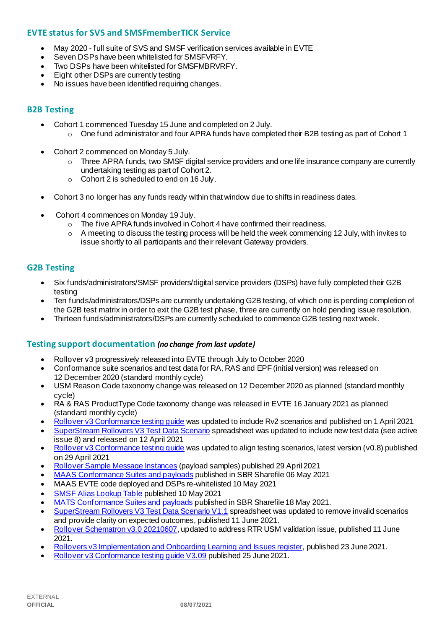## **EVTE status for SVS and SMSFmemberTICK Service**

- May 2020 full suite of SVS and SMSF verification services available in EVTE
- Seven DSPs have been whitelisted for SMSFVRFY.
- Two DSPs have been whitelisted for SMSFMBRVRFY.
- Eight other DSPs are currently testing
- No issues have been identified requiring changes.

#### **B2B Testing**

- Cohort 1 commenced Tuesday 15 June and completed on 2 July.
	- $\circ$  One fund administrator and four APRA funds have completed their B2B testing as part of Cohort 1
- Cohort 2 commenced on Monday 5 July.
	- o Three APRA funds, two SMSF digital service providers and one life insurance company are currently undertaking testing as part of Cohort 2.
	- o Cohort 2 is scheduled to end on 16 July.
- Cohort 3 no longer has any funds ready within that window due to shifts in readiness dates.
- Cohort 4 commences on Monday 19 July.
	- o The five APRA funds involved in Cohort 4 have confirmed their readiness.
	- $\circ$  A meeting to discuss the testing process will be held the week commencing 12 July, with invites to issue shortly to all participants and their relevant Gateway providers.

#### **G2B Testing**

- Six funds/administrators/SMSF providers/digital service providers (DSPs) have fully completed their G2B testing
- Ten funds/administrators/DSPs are currently undertaking G2B testing, of which one is pending completion of the G2B test matrix in order to exit the G2B test phase, three are currently on hold pending issue resolution.
- Thirteen funds/administrators/DSPs are currently scheduled to commence G2B testing next week.

#### **Testing support documentation** *(no change from last update)*

- Rollover v3 progressively released into EVTE through July to October 2020
- Conformance suite scenarios and test data for RA, RAS and EPF (initial version) was released on 12 December 2020 (standard monthly cycle)
- USM Reason Code taxonomy change was released on 12 December 2020 as planned (standard monthly cycle)
- RA & RAS ProductType Code taxonomy change was released in EVTE 16 January 2021 as planned (standard monthly cycle)
- [Rollover v3 Conformance testing guide](https://softwaredevelopers.ato.gov.au/rolloverV3) was updated to include Rv2 scenarios and published on 1 April 2021
- [SuperStream Rollovers V3 Test Data Scenario](https://softwaredevelopers.ato.gov.au/sites/default/files/2021-04/SuperStream_RolloversV3_Test_Data_Scenario_V1.0.xlsx) spreadsheet was updated to include new test data (see active issue 8) and released on 12 April 2021
- [Rollover v3 Conformance testing guide](https://softwaredevelopers.ato.gov.au/rolloverV3) was updated to align testing scenarios, latest version (v0.8) published on 29 April 2021
- [Rollover Sample Message Instances](https://softwaredevelopers.ato.gov.au/rolloverV3) (payload samples) published 29 April 2021
- [MAAS Conformance Suites and payloads](https://standardbusinessreporting.sharefile.com/home/shared/fod63f12-7bbb-4c61-96e7-33dc9eae4d9a) published in SBR Sharefile 06 May 2021
- MAAS EVTE code deployed and DSPs re-whitelisted 10 May 2021
- [SMSF Alias Lookup Table](https://softwaredevelopers.ato.gov.au/supervalidationservices) published 10 May 2021
- [MATS Conformance Suites and payloads](http://standardbusinessreporting.sharefile.com/) published in SBR Sharefile 18 May 2021.
- [SuperStream Rollovers V3 Test Data Scenario V1.1](https://softwaredevelopers.ato.gov.au/sites/default/files/2021-06/SuperStream_RolloversV3_Test_Data_Scenario_V1.1-1.xlsx) spreadsheet was updated to remove invalid scenarios and provide clarity on expected outcomes, published 11 June 2021.
- [Rollover Schematron v3.0 20210607](https://softwaredevelopers.ato.gov.au/sites/default/files/2021-06/Rollover_SPRROL.0003_Schematron_20210607-1.zip), updated to address RTR USM validation issue, published 11 June 2021.
- [Rollovers v3 Implementation and Onboarding Learning and Issues register](https://www.ato.gov.au/uploadedFiles/Content/SPR/downloads/SuperStream_Rollovers_v3_Implementation_and_Onboarding_Learning_Issues_register%20.pdf), published 23 June 2021.
- [Rollover v3 Conformance testing guide V3.09](https://softwaredevelopers.ato.gov.au/sites/default/files/2021-06/Rollover_V3_Conformance_Testing_Guide_version_3.09_Final.pdf) published 25 June 2021.